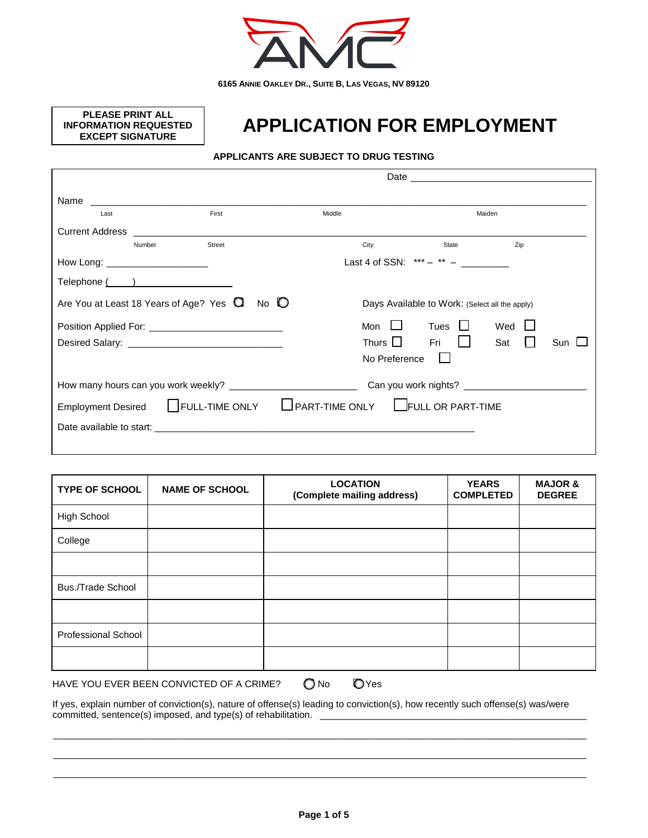

**PLEASE PRINT ALL INFORMATION REQUESTED EXCEPT SIGNATURE**

# **APPLICATION FOR EMPLOYMENT**

## **APPLICANTS ARE SUBJECT TO DRUG TESTING**

| Name                   |                                            | <u> 1980 - Jan Stern Harry Harry Harry Harry Harry Harry Harry Harry Harry Harry Harry Harry Harry Harry Harry Har</u>                                                                                                         |               |                                                |        |  |
|------------------------|--------------------------------------------|--------------------------------------------------------------------------------------------------------------------------------------------------------------------------------------------------------------------------------|---------------|------------------------------------------------|--------|--|
|                        | Last                                       | First                                                                                                                                                                                                                          | Middle        |                                                | Maiden |  |
| <b>Current Address</b> |                                            |                                                                                                                                                                                                                                |               |                                                |        |  |
|                        | Number                                     | <b>Street</b>                                                                                                                                                                                                                  | City          | State                                          | Zip    |  |
|                        | How Long: _______________________          |                                                                                                                                                                                                                                |               | Last 4 of SSN: $***  ** -$                     |        |  |
|                        |                                            |                                                                                                                                                                                                                                |               |                                                |        |  |
|                        | Are You at Least 18 Years of Age? Yes Q    | No $\mathbb{O}$                                                                                                                                                                                                                |               | Days Available to Work: (Select all the apply) |        |  |
|                        |                                            |                                                                                                                                                                                                                                | Mon $\Box$    | Tues                                           | Wed    |  |
|                        | Thurs $\Box$<br>Fri<br>$\mathbf{1}$<br>Sat |                                                                                                                                                                                                                                |               | Sun $\Box$                                     |        |  |
|                        |                                            |                                                                                                                                                                                                                                | No Preference |                                                |        |  |
|                        |                                            |                                                                                                                                                                                                                                |               |                                                |        |  |
|                        | <b>Employment Desired</b>                  | FULL-TIME ONLY LPART-TIME ONLY LIFULL OR PART-TIME                                                                                                                                                                             |               |                                                |        |  |
|                        |                                            | Date available to start: example and a start of the start of the start of the start of the start of the start of the start of the start of the start of the start of the start of the start of the start of the start of the s |               |                                                |        |  |
|                        |                                            |                                                                                                                                                                                                                                |               |                                                |        |  |

| <b>TYPE OF SCHOOL</b>              | <b>NAME OF SCHOOL</b> | <b>LOCATION</b><br>(Complete mailing address) | <b>YEARS</b><br><b>COMPLETED</b> | <b>MAJOR &amp;</b><br><b>DEGREE</b> |
|------------------------------------|-----------------------|-----------------------------------------------|----------------------------------|-------------------------------------|
| <b>High School</b>                 |                       |                                               |                                  |                                     |
| College                            |                       |                                               |                                  |                                     |
|                                    |                       |                                               |                                  |                                     |
| <b>Bus./Trade School</b>           |                       |                                               |                                  |                                     |
|                                    |                       |                                               |                                  |                                     |
| <b>Professional School</b>         |                       |                                               |                                  |                                     |
|                                    |                       |                                               |                                  |                                     |
| $\sim$<br>$\overline{\phantom{a}}$ |                       |                                               |                                  |                                     |

HAVE YOU EVER BEEN CONVICTED OF A CRIME?  $\bigcirc$  No  $\bigcirc$  Yes

If yes, explain number of conviction(s), nature of offense(s) leading to conviction(s), how recently such offense(s) was/were committed, sentence(s) imposed, and type(s) of rehabilitation.

\_\_\_\_\_\_\_\_\_\_\_\_\_\_\_\_\_\_\_\_\_\_\_\_\_\_\_\_\_\_\_\_\_\_\_\_\_\_\_\_\_\_\_\_\_\_\_\_\_\_\_\_\_\_\_\_\_\_\_\_\_\_\_\_\_\_\_\_\_\_\_\_\_\_\_\_\_\_\_\_\_\_\_\_\_\_\_\_\_\_\_\_\_\_\_\_\_\_\_\_ \_\_\_\_\_\_\_\_\_\_\_\_\_\_\_\_\_\_\_\_\_\_\_\_\_\_\_\_\_\_\_\_\_\_\_\_\_\_\_\_\_\_\_\_\_\_\_\_\_\_\_\_\_\_\_\_\_\_\_\_\_\_\_\_\_\_\_\_\_\_\_\_\_\_\_\_\_\_\_\_\_\_\_\_\_\_\_\_\_\_\_\_\_\_\_\_\_\_\_\_ \_\_\_\_\_\_\_\_\_\_\_\_\_\_\_\_\_\_\_\_\_\_\_\_\_\_\_\_\_\_\_\_\_\_\_\_\_\_\_\_\_\_\_\_\_\_\_\_\_\_\_\_\_\_\_\_\_\_\_\_\_\_\_\_\_\_\_\_\_\_\_\_\_\_\_\_\_\_\_\_\_\_\_\_\_\_\_\_\_\_\_\_\_\_\_\_\_\_\_\_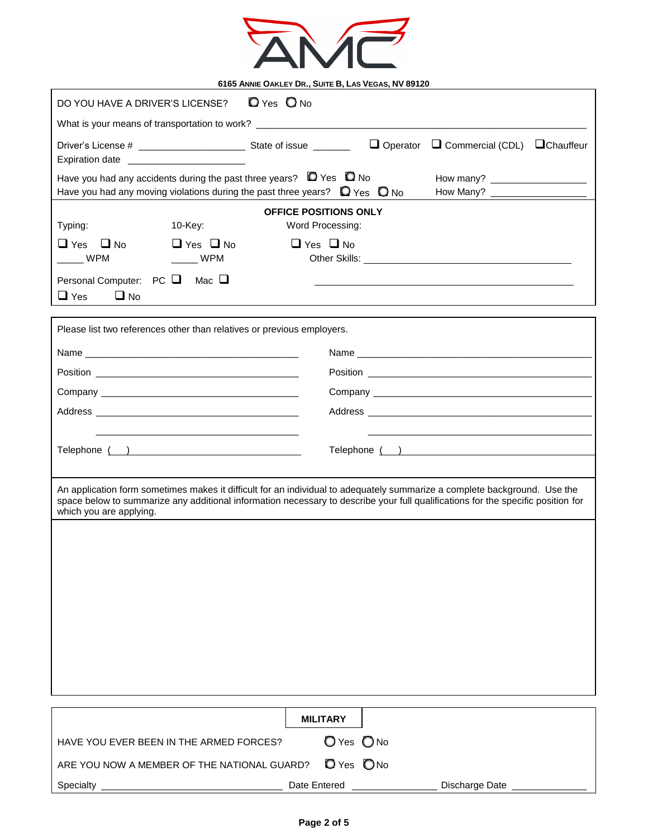

| $Q$ Yes $Q$ No<br>DO YOU HAVE A DRIVER'S LICENSE?                                                                                                                                                                                                                                        |                                                          |  |  |  |
|------------------------------------------------------------------------------------------------------------------------------------------------------------------------------------------------------------------------------------------------------------------------------------------|----------------------------------------------------------|--|--|--|
| What is your means of transportation to work? __________________________________                                                                                                                                                                                                         |                                                          |  |  |  |
| Expiration date __________________________                                                                                                                                                                                                                                               | $\Box$ Operator $\Box$ Commercial (CDL) $\Box$ Chauffeur |  |  |  |
| Have you had any accidents during the past three years? $\Box$ Yes $\Box$ No<br>Have you had any moving violations during the past three years? $\Box$ Yes $\Box$ No                                                                                                                     |                                                          |  |  |  |
| <b>OFFICE POSITIONS ONLY</b><br>Word Processing:<br>Typing:<br>10-Key:                                                                                                                                                                                                                   |                                                          |  |  |  |
| $\Box$ Yes $\Box$ No<br>$\Box$ Yes $\Box$ No<br>$\Box$ Yes $\Box$ No<br>$\frac{1}{2}$ WPM<br>WPM                                                                                                                                                                                         |                                                          |  |  |  |
| Personal Computer: $PC$<br>Mac <b>❑</b><br>$\Box$ Yes<br>$\Box$ No                                                                                                                                                                                                                       |                                                          |  |  |  |
| Please list two references other than relatives or previous employers.                                                                                                                                                                                                                   |                                                          |  |  |  |
|                                                                                                                                                                                                                                                                                          |                                                          |  |  |  |
|                                                                                                                                                                                                                                                                                          |                                                          |  |  |  |
|                                                                                                                                                                                                                                                                                          |                                                          |  |  |  |
|                                                                                                                                                                                                                                                                                          |                                                          |  |  |  |
|                                                                                                                                                                                                                                                                                          |                                                          |  |  |  |
| Telephone ( )                                                                                                                                                                                                                                                                            |                                                          |  |  |  |
|                                                                                                                                                                                                                                                                                          |                                                          |  |  |  |
| An application form sometimes makes it difficult for an individual to adequately summarize a complete background. Use the<br>space below to summarize any additional information necessary to describe your full qualifications for the specific position for<br>which you are applying. |                                                          |  |  |  |
|                                                                                                                                                                                                                                                                                          |                                                          |  |  |  |
|                                                                                                                                                                                                                                                                                          |                                                          |  |  |  |
|                                                                                                                                                                                                                                                                                          |                                                          |  |  |  |
|                                                                                                                                                                                                                                                                                          |                                                          |  |  |  |
|                                                                                                                                                                                                                                                                                          |                                                          |  |  |  |
|                                                                                                                                                                                                                                                                                          |                                                          |  |  |  |
|                                                                                                                                                                                                                                                                                          |                                                          |  |  |  |
|                                                                                                                                                                                                                                                                                          |                                                          |  |  |  |
|                                                                                                                                                                                                                                                                                          |                                                          |  |  |  |
| <b>MILITARY</b>                                                                                                                                                                                                                                                                          |                                                          |  |  |  |
| O Yes O No<br>HAVE YOU EVER BEEN IN THE ARMED FORCES?                                                                                                                                                                                                                                    |                                                          |  |  |  |
| <b>D</b> Yes ONo<br>ARE YOU NOW A MEMBER OF THE NATIONAL GUARD?                                                                                                                                                                                                                          |                                                          |  |  |  |

Specialty \_\_\_\_\_\_\_\_\_\_\_\_\_\_\_\_\_\_\_\_\_\_\_\_\_\_\_\_\_\_\_\_\_\_ Date Entered \_\_\_\_\_\_\_\_\_\_\_\_\_\_\_\_ Discharge Date \_\_\_\_\_\_\_\_\_\_\_\_\_\_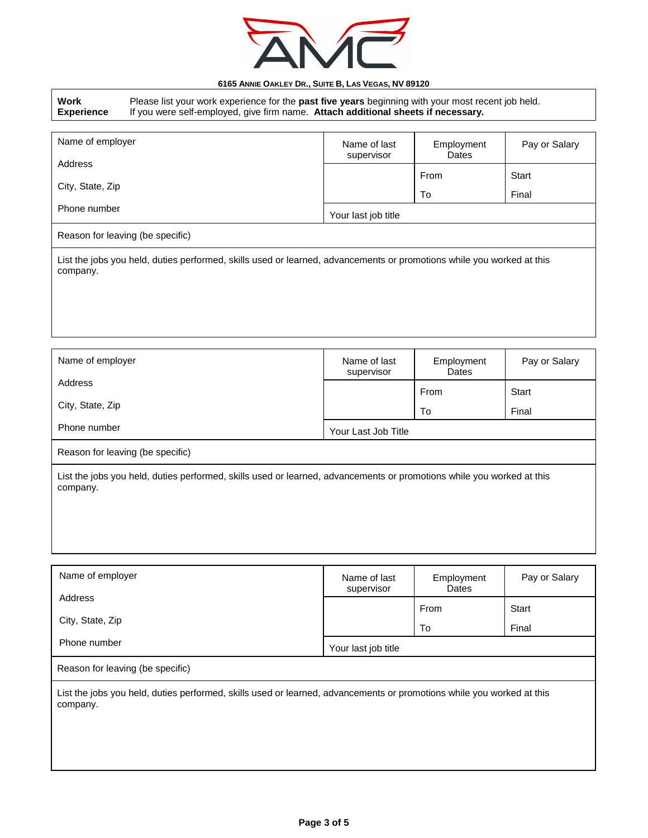

| 0100 ANNIE OANLET DN., OUITE D, LAS VEGAS, IVV 03TZU<br>Work<br>Please list your work experience for the past five years beginning with your most recent job held.<br>If you were self-employed, give firm name. Attach additional sheets if necessary.<br><b>Experience</b> |                     |                            |                     |               |
|------------------------------------------------------------------------------------------------------------------------------------------------------------------------------------------------------------------------------------------------------------------------------|---------------------|----------------------------|---------------------|---------------|
|                                                                                                                                                                                                                                                                              |                     |                            |                     |               |
| Name of employer<br>Address<br>City, State, Zip                                                                                                                                                                                                                              |                     | Name of last<br>supervisor | Employment<br>Dates | Pay or Salary |
|                                                                                                                                                                                                                                                                              |                     |                            | From                | <b>Start</b>  |
|                                                                                                                                                                                                                                                                              |                     |                            | To                  | Final         |
| Phone number                                                                                                                                                                                                                                                                 |                     | Your last job title        |                     |               |
| Reason for leaving (be specific)                                                                                                                                                                                                                                             |                     |                            |                     |               |
| List the jobs you held, duties performed, skills used or learned, advancements or promotions while you worked at this<br>company.                                                                                                                                            |                     |                            |                     |               |
| Name of employer                                                                                                                                                                                                                                                             |                     | Name of last<br>supervisor | Employment<br>Dates | Pay or Salary |
| Address                                                                                                                                                                                                                                                                      |                     |                            | From                | <b>Start</b>  |
| City, State, Zip                                                                                                                                                                                                                                                             |                     |                            | To                  | Final         |
| Phone number                                                                                                                                                                                                                                                                 | Your Last Job Title |                            |                     |               |
| Reason for leaving (be specific)                                                                                                                                                                                                                                             |                     |                            |                     |               |
| List the jobs you held, duties performed, skills used or learned, advancements or promotions while you worked at this<br>company.                                                                                                                                            |                     |                            |                     |               |

| Name of employer            | Name of last<br>supervisor | Employment<br>Dates | Pay or Salary |
|-----------------------------|----------------------------|---------------------|---------------|
| Address<br>City, State, Zip |                            | From                | <b>Start</b>  |
| Phone number                |                            | To                  | Final         |
|                             | Your last job title        |                     |               |

Reason for leaving (be specific)

List the jobs you held, duties performed, skills used or learned, advancements or promotions while you worked at this company.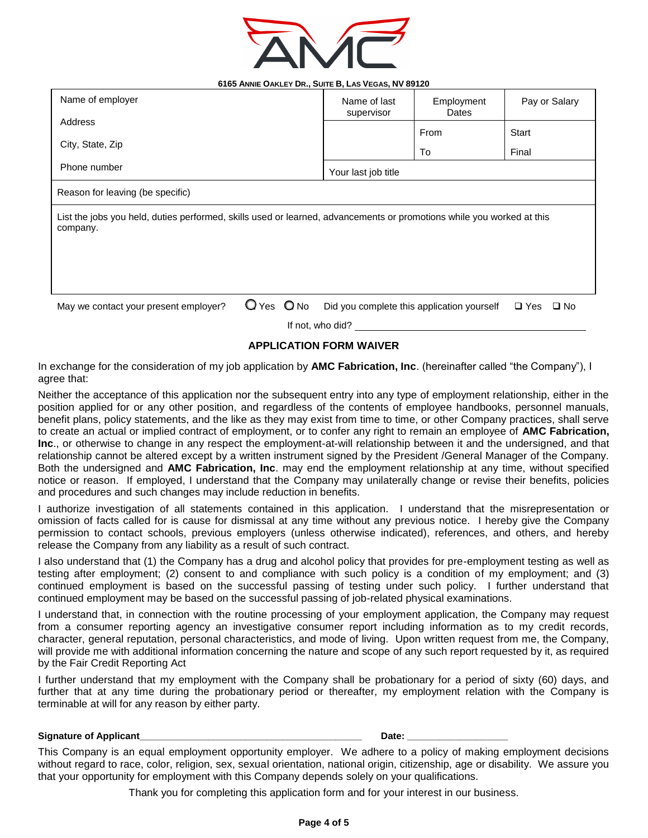

| Name of last<br>supervisor                                                                                                        | Employment<br>Dates | Pay or Salary                              |  |  |
|-----------------------------------------------------------------------------------------------------------------------------------|---------------------|--------------------------------------------|--|--|
|                                                                                                                                   | From                | Start                                      |  |  |
|                                                                                                                                   | To                  | Final                                      |  |  |
| Your last job title                                                                                                               |                     |                                            |  |  |
| Reason for leaving (be specific)                                                                                                  |                     |                                            |  |  |
| List the jobs you held, duties performed, skills used or learned, advancements or promotions while you worked at this<br>company. |                     |                                            |  |  |
|                                                                                                                                   |                     |                                            |  |  |
|                                                                                                                                   |                     |                                            |  |  |
|                                                                                                                                   |                     |                                            |  |  |
|                                                                                                                                   |                     | $\square$ Yes<br>$\square$ No              |  |  |
|                                                                                                                                   |                     | Did you complete this application yourself |  |  |

If not, who did?

### **APPLICATION FORM WAIVER**

In exchange for the consideration of my job application by **AMC Fabrication, Inc**. (hereinafter called "the Company"), I agree that:

Neither the acceptance of this application nor the subsequent entry into any type of employment relationship, either in the position applied for or any other position, and regardless of the contents of employee handbooks, personnel manuals, benefit plans, policy statements, and the like as they may exist from time to time, or other Company practices, shall serve to create an actual or implied contract of employment, or to confer any right to remain an employee of **AMC Fabrication, Inc**., or otherwise to change in any respect the employment-at-will relationship between it and the undersigned, and that relationship cannot be altered except by a written instrument signed by the President /General Manager of the Company. Both the undersigned and **AMC Fabrication, Inc**. may end the employment relationship at any time, without specified notice or reason. If employed, I understand that the Company may unilaterally change or revise their benefits, policies and procedures and such changes may include reduction in benefits.

I authorize investigation of all statements contained in this application. I understand that the misrepresentation or omission of facts called for is cause for dismissal at any time without any previous notice. I hereby give the Company permission to contact schools, previous employers (unless otherwise indicated), references, and others, and hereby release the Company from any liability as a result of such contract.

I also understand that (1) the Company has a drug and alcohol policy that provides for pre-employment testing as well as testing after employment; (2) consent to and compliance with such policy is a condition of my employment; and (3) continued employment is based on the successful passing of testing under such policy. I further understand that continued employment may be based on the successful passing of job-related physical examinations.

I understand that, in connection with the routine processing of your employment application, the Company may request from a consumer reporting agency an investigative consumer report including information as to my credit records, character, general reputation, personal characteristics, and mode of living. Upon written request from me, the Company, will provide me with additional information concerning the nature and scope of any such report requested by it, as required by the Fair Credit Reporting Act

I further understand that my employment with the Company shall be probationary for a period of sixty (60) days, and further that at any time during the probationary period or thereafter, my employment relation with the Company is terminable at will for any reason by either party.

#### **Signature of Applicant\_\_\_\_\_\_\_\_\_\_\_\_\_\_\_\_\_\_\_\_\_\_\_\_\_\_\_\_\_\_\_\_\_\_\_\_\_\_\_\_\_\_ Date: \_\_\_\_\_\_\_\_\_\_\_\_\_\_\_\_\_\_\_**

This Company is an equal employment opportunity employer. We adhere to a policy of making employment decisions without regard to race, color, religion, sex, sexual orientation, national origin, citizenship, age or disability. We assure you that your opportunity for employment with this Company depends solely on your qualifications.

Thank you for completing this application form and for your interest in our business.